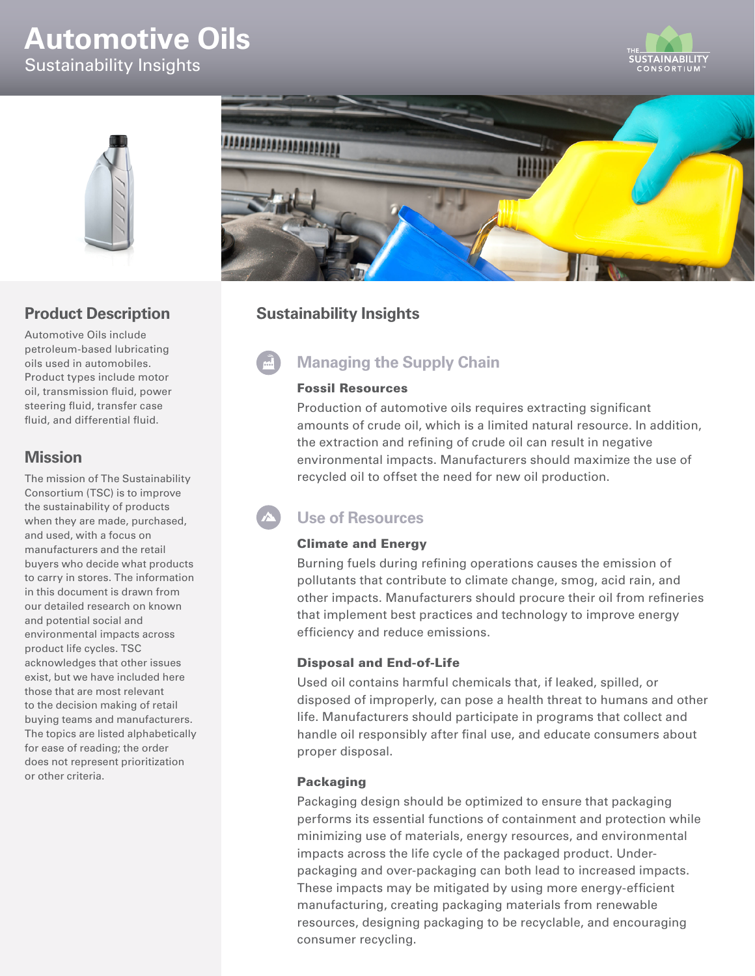# **Automotive Oils**

Sustainability Insights





# **Product Description**

Automotive Oils include petroleum-based lubricating oils used in automobiles. Product types include motor oil, transmission fluid, power steering fluid, transfer case fluid, and differential fluid.

## **Mission**

The mission of The Sustainability Consortium (TSC) is to improve the sustainability of products when they are made, purchased, and used, with a focus on manufacturers and the retail buyers who decide what products to carry in stores. The information in this document is drawn from our detailed research on known and potential social and environmental impacts across product life cycles. TSC acknowledges that other issues exist, but we have included here those that are most relevant to the decision making of retail buying teams and manufacturers. The topics are listed alphabetically for ease of reading; the order does not represent prioritization or other criteria.



# **Sustainability Insights**

# **Managing the Supply Chain**

#### Fossil Resources

Production of automotive oils requires extracting significant amounts of crude oil, which is a limited natural resource. In addition, the extraction and refining of crude oil can result in negative environmental impacts. Manufacturers should maximize the use of recycled oil to offset the need for new oil production.

# **Use of Resources**

#### Climate and Energy

Burning fuels during refining operations causes the emission of pollutants that contribute to climate change, smog, acid rain, and other impacts. Manufacturers should procure their oil from refineries that implement best practices and technology to improve energy efficiency and reduce emissions.

#### Disposal and End-of-Life

Used oil contains harmful chemicals that, if leaked, spilled, or disposed of improperly, can pose a health threat to humans and other life. Manufacturers should participate in programs that collect and handle oil responsibly after final use, and educate consumers about proper disposal.

#### Packaging

Packaging design should be optimized to ensure that packaging performs its essential functions of containment and protection while minimizing use of materials, energy resources, and environmental impacts across the life cycle of the packaged product. Underpackaging and over-packaging can both lead to increased impacts. These impacts may be mitigated by using more energy-efficient manufacturing, creating packaging materials from renewable resources, designing packaging to be recyclable, and encouraging consumer recycling.